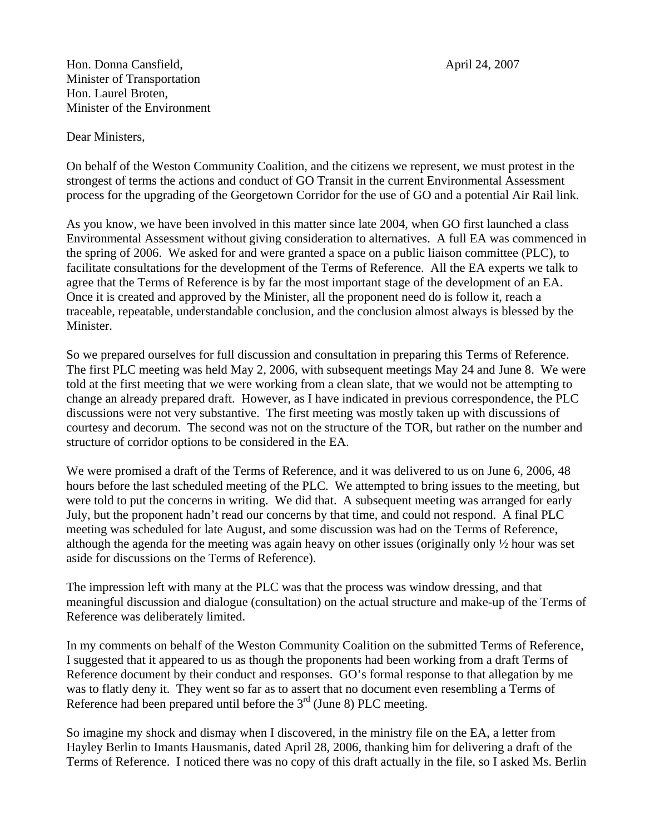Hon. Donna Cansfield, April 24, 2007 Minister of Transportation Hon. Laurel Broten, Minister of the Environment

Dear Ministers,

On behalf of the Weston Community Coalition, and the citizens we represent, we must protest in the strongest of terms the actions and conduct of GO Transit in the current Environmental Assessment process for the upgrading of the Georgetown Corridor for the use of GO and a potential Air Rail link.

As you know, we have been involved in this matter since late 2004, when GO first launched a class Environmental Assessment without giving consideration to alternatives. A full EA was commenced in the spring of 2006. We asked for and were granted a space on a public liaison committee (PLC), to facilitate consultations for the development of the Terms of Reference. All the EA experts we talk to agree that the Terms of Reference is by far the most important stage of the development of an EA. Once it is created and approved by the Minister, all the proponent need do is follow it, reach a traceable, repeatable, understandable conclusion, and the conclusion almost always is blessed by the Minister.

So we prepared ourselves for full discussion and consultation in preparing this Terms of Reference. The first PLC meeting was held May 2, 2006, with subsequent meetings May 24 and June 8. We were told at the first meeting that we were working from a clean slate, that we would not be attempting to change an already prepared draft. However, as I have indicated in previous correspondence, the PLC discussions were not very substantive. The first meeting was mostly taken up with discussions of courtesy and decorum. The second was not on the structure of the TOR, but rather on the number and structure of corridor options to be considered in the EA.

We were promised a draft of the Terms of Reference, and it was delivered to us on June 6, 2006, 48 hours before the last scheduled meeting of the PLC. We attempted to bring issues to the meeting, but were told to put the concerns in writing. We did that. A subsequent meeting was arranged for early July, but the proponent hadn't read our concerns by that time, and could not respond. A final PLC meeting was scheduled for late August, and some discussion was had on the Terms of Reference, although the agenda for the meeting was again heavy on other issues (originally only ½ hour was set aside for discussions on the Terms of Reference).

The impression left with many at the PLC was that the process was window dressing, and that meaningful discussion and dialogue (consultation) on the actual structure and make-up of the Terms of Reference was deliberately limited.

In my comments on behalf of the Weston Community Coalition on the submitted Terms of Reference, I suggested that it appeared to us as though the proponents had been working from a draft Terms of Reference document by their conduct and responses. GO's formal response to that allegation by me was to flatly deny it. They went so far as to assert that no document even resembling a Terms of Reference had been prepared until before the  $3<sup>rd</sup>$  (June 8) PLC meeting.

So imagine my shock and dismay when I discovered, in the ministry file on the EA, a letter from Hayley Berlin to Imants Hausmanis, dated April 28, 2006, thanking him for delivering a draft of the Terms of Reference. I noticed there was no copy of this draft actually in the file, so I asked Ms. Berlin